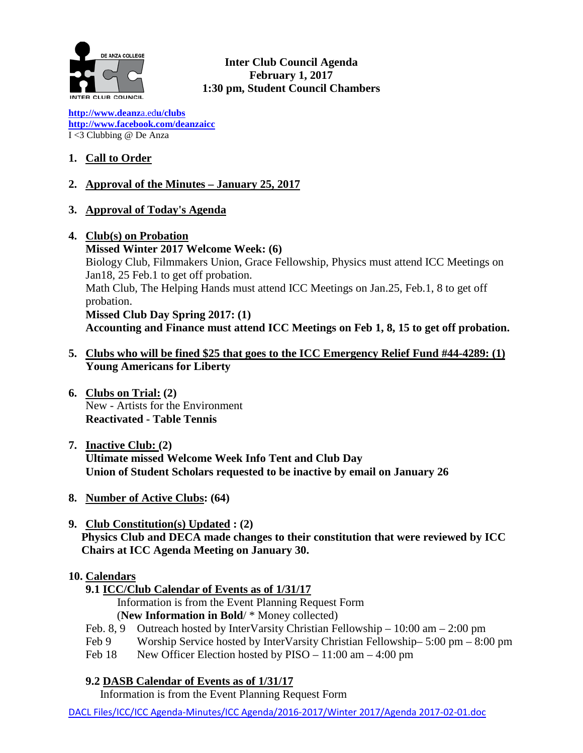

**Inter Club Council Agenda February 1, 2017 1:30 pm, Student Council Chambers**

**[http://www.deanz](http://www.deanza.edu/clubs)**[a.ed](http://www.deanza.edu/clubs)**[u/clubs](http://www.deanza.edu/clubs) [http://www.facebook.com/deanzaicc](http://www.facebook.com/home.php#!/group.php?gid=59034552686)** I <3 Clubbing @ De Anza

# **1. Call to Order**

## **2. Approval of the Minutes – January 25, 2017**

- **3. Approval of Today's Agenda**
- **4. Club(s) on Probation Missed Winter 2017 Welcome Week: (6)** Biology Club, Filmmakers Union, Grace Fellowship, Physics must attend ICC Meetings on Jan18, 25 Feb.1 to get off probation. Math Club, The Helping Hands must attend ICC Meetings on Jan.25, Feb.1, 8 to get off probation. **Missed Club Day Spring 2017: (1) Accounting and Finance must attend ICC Meetings on Feb 1, 8, 15 to get off probation.**
- **5. Clubs who will be fined \$25 that goes to the ICC Emergency Relief Fund #44-4289: (1) Young Americans for Liberty**
- **6. Clubs on Trial: (2)** New - Artists for the Environment **Reactivated - Table Tennis**
- **7. Inactive Club: (2) Ultimate missed Welcome Week Info Tent and Club Day Union of Student Scholars requested to be inactive by email on January 26**
- **8. Number of Active Clubs: (64)**
- **9. Club Constitution(s) Updated : (2) Physics Club and DECA made changes to their constitution that were reviewed by ICC Chairs at ICC Agenda Meeting on January 30.**

## **10. Calendars**

**9.1 ICC/Club Calendar of Events as of 1/31/17**

 Information is from the Event Planning Request Form (**New Information in Bold**/ \* Money collected)

- Feb. 8, 9 Outreach hosted by InterVarsity Christian Fellowship 10:00 am 2:00 pm
- Feb 9 Worship Service hosted by InterVarsity Christian Fellowship– 5:00 pm 8:00 pm
- Feb 18 New Officer Election hosted by PISO 11:00 am 4:00 pm

**9.2 DASB Calendar of Events as of 1/31/17**

Information is from the Event Planning Request Form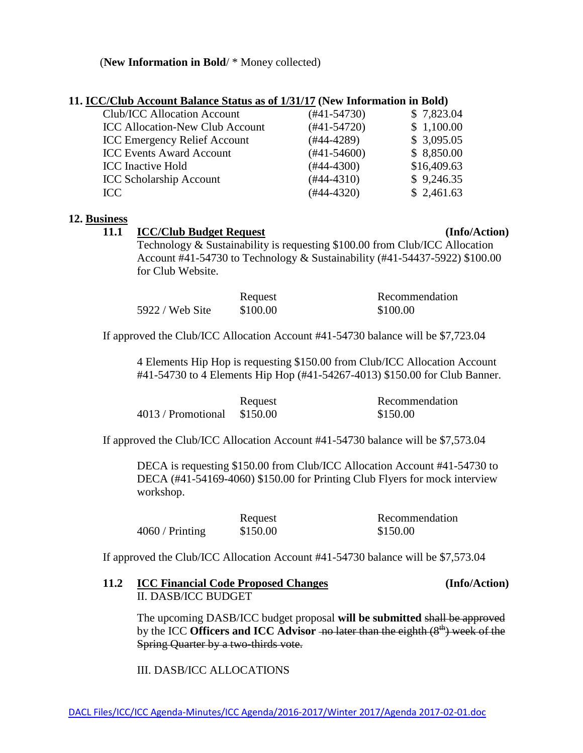### (**New Information in Bold**/ \* Money collected)

| 11. ICC/Club Account Balance Status as of 1/31/17 (New Information in Bold) |                  |             |
|-----------------------------------------------------------------------------|------------------|-------------|
| <b>Club/ICC Allocation Account</b>                                          | (#41-54730)      | \$7,823.04  |
| <b>ICC Allocation-New Club Account</b>                                      | $(\#41 - 54720)$ | \$1,100.00  |
| <b>ICC Emergency Relief Account</b>                                         | $(#44-4289)$     | \$3,095.05  |
| <b>ICC Events Award Account</b>                                             | $(\#41 - 54600)$ | \$8,850.00  |
| <b>ICC</b> Inactive Hold                                                    | $(#44-4300)$     | \$16,409.63 |
| <b>ICC Scholarship Account</b>                                              | $(\#44 - 4310)$  | \$9,246.35  |
| ICC                                                                         | $(#44-4320)$     | \$2,461.63  |
|                                                                             |                  |             |

### **12. Business**

#### **11.1 ICC/Club Budget Request (Info/Action)**

Technology & Sustainability is requesting \$100.00 from Club/ICC Allocation Account #41-54730 to Technology & Sustainability (#41-54437-5922) \$100.00 for Club Website.

|                 | Request  | Recommendation |
|-----------------|----------|----------------|
| 5922 / Web Site | \$100.00 | \$100.00       |

If approved the Club/ICC Allocation Account #41-54730 balance will be \$7,723.04

4 Elements Hip Hop is requesting \$150.00 from Club/ICC Allocation Account #41-54730 to 4 Elements Hip Hop (#41-54267-4013) \$150.00 for Club Banner.

|                             | Request | Recommendation |
|-----------------------------|---------|----------------|
| 4013 / Promotional \$150.00 |         | \$150.00       |

If approved the Club/ICC Allocation Account #41-54730 balance will be \$7,573.04

DECA is requesting \$150.00 from Club/ICC Allocation Account #41-54730 to DECA (#41-54169-4060) \$150.00 for Printing Club Flyers for mock interview workshop.

|                 | Request  | Recommendation |
|-----------------|----------|----------------|
| 4060 / Printing | \$150.00 | \$150.00       |

If approved the Club/ICC Allocation Account #41-54730 balance will be \$7,573.04

### **11.2 ICC Financial Code Proposed Changes (Info/Action)** II. DASB/ICC BUDGET

The upcoming DASB/ICC budget proposal **will be submitted** shall be approved by the ICC **Officers and ICC** Advisor -no later than the eighth (8<sup>th</sup>) week of the Spring Quarter by a two-thirds vote.

III. DASB/ICC ALLOCATIONS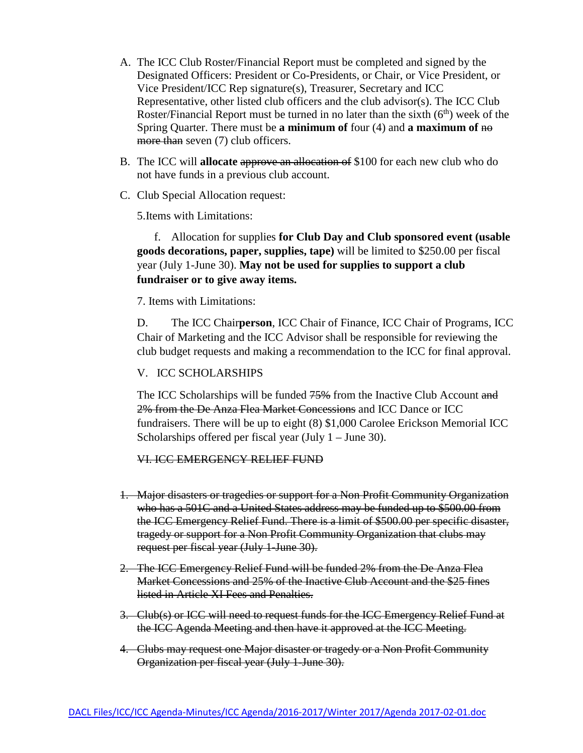- A. The ICC Club Roster/Financial Report must be completed and signed by the Designated Officers: President or Co-Presidents, or Chair, or Vice President, or Vice President/ICC Rep signature(s), Treasurer, Secretary and ICC Representative, other listed club officers and the club advisor(s). The ICC Club Roster/Financial Report must be turned in no later than the sixth  $(6<sup>th</sup>)$  week of the Spring Quarter. There must be **a minimum of** four (4) and **a maximum of** no more than seven (7) club officers.
- B. The ICC will **allocate** approve an allocation of \$100 for each new club who do not have funds in a previous club account.
- C. Club Special Allocation request:

5.Items with Limitations:

 f. Allocation for supplies **for Club Day and Club sponsored event (usable goods decorations, paper, supplies, tape)** will be limited to \$250.00 per fiscal year (July 1-June 30). **May not be used for supplies to support a club fundraiser or to give away items.**

7. Items with Limitations:

D. The ICC Chair**person**, ICC Chair of Finance, ICC Chair of Programs, ICC Chair of Marketing and the ICC Advisor shall be responsible for reviewing the club budget requests and making a recommendation to the ICC for final approval.

#### V. ICC SCHOLARSHIPS

The ICC Scholarships will be funded 75% from the Inactive Club Account and 2% from the De Anza Flea Market Concessions and ICC Dance or ICC fundraisers. There will be up to eight (8) \$1,000 Carolee Erickson Memorial ICC Scholarships offered per fiscal year (July 1 – June 30).

#### VI. ICC EMERGENCY RELIEF FUND

- 1. Major disasters or tragedies or support for a Non Profit Community Organization who has a 501C and a United States address may be funded up to \$500.00 from the ICC Emergency Relief Fund. There is a limit of \$500.00 per specific disaster, tragedy or support for a Non Profit Community Organization that clubs may request per fiscal year (July 1-June 30).
- 2. The ICC Emergency Relief Fund will be funded 2% from the De Anza Flea Market Concessions and 25% of the Inactive Club Account and the \$25 fines listed in Article XI Fees and Penalties.
- 3. Club(s) or ICC will need to request funds for the ICC Emergency Relief Fund at the ICC Agenda Meeting and then have it approved at the ICC Meeting.
- 4. Clubs may request one Major disaster or tragedy or a Non Profit Community Organization per fiscal year (July 1-June 30).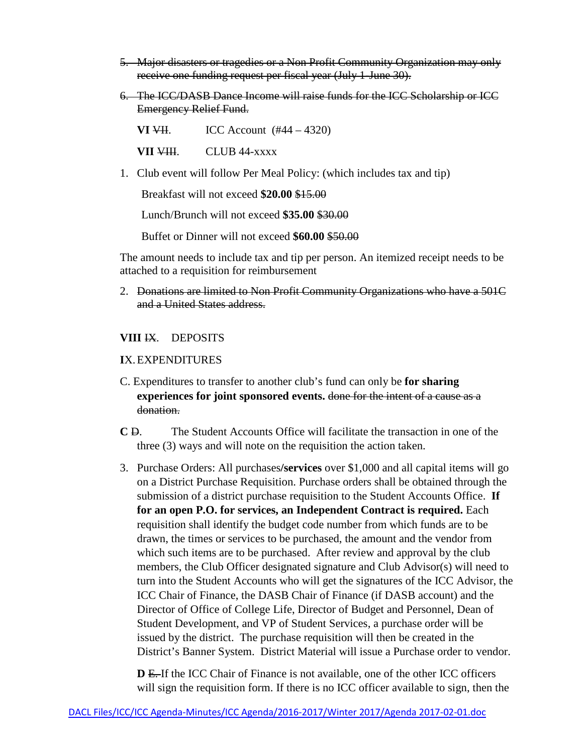- 5. Major disasters or tragedies or a Non Profit Community Organization may only receive one funding request per fiscal year (July 1-June 30).
- 6. The ICC/DASB Dance Income will raise funds for the ICC Scholarship or ICC Emergency Relief Fund.

**VI**  $\overline{V}$ **II.** ICC Account (#44 – 4320)

**VII VIII.** CLUB 44-xxxx

1. Club event will follow Per Meal Policy: (which includes tax and tip)

Breakfast will not exceed **\$20.00** \$15.00

Lunch/Brunch will not exceed **\$35.00** \$30.00

Buffet or Dinner will not exceed **\$60.00** \$50.00

The amount needs to include tax and tip per person. An itemized receipt needs to be attached to a requisition for reimbursement

2. Donations are limited to Non Profit Community Organizations who have a 501C and a United States address.

## **VIII** IX. DEPOSITS

### **I**X.EXPENDITURES

- C. Expenditures to transfer to another club's fund can only be **for sharing experiences for joint sponsored events.** done for the intent of a cause as a donation.
- **C** D. The Student Accounts Office will facilitate the transaction in one of the three (3) ways and will note on the requisition the action taken.
- 3. Purchase Orders: All purchases**/services** over \$1,000 and all capital items will go on a District Purchase Requisition. Purchase orders shall be obtained through the submission of a district purchase requisition to the Student Accounts Office. **If for an open P.O. for services, an Independent Contract is required.** Each requisition shall identify the budget code number from which funds are to be drawn, the times or services to be purchased, the amount and the vendor from which such items are to be purchased. After review and approval by the club members, the Club Officer designated signature and Club Advisor(s) will need to turn into the Student Accounts who will get the signatures of the ICC Advisor, the ICC Chair of Finance, the DASB Chair of Finance (if DASB account) and the Director of Office of College Life, Director of Budget and Personnel, Dean of Student Development, and VP of Student Services, a purchase order will be issued by the district. The purchase requisition will then be created in the District's Banner System. District Material will issue a Purchase order to vendor.

**D** E. If the ICC Chair of Finance is not available, one of the other ICC officers will sign the requisition form. If there is no ICC officer available to sign, then the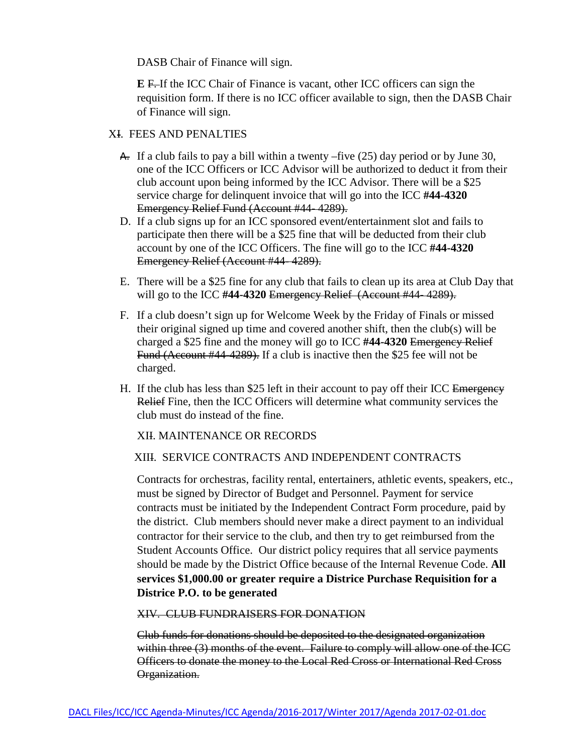DASB Chair of Finance will sign.

**E** F. If the ICC Chair of Finance is vacant, other ICC officers can sign the requisition form. If there is no ICC officer available to sign, then the DASB Chair of Finance will sign.

## XI. FEES AND PENALTIES

- A. If a club fails to pay a bill within a twenty –five  $(25)$  day period or by June 30, one of the ICC Officers or ICC Advisor will be authorized to deduct it from their club account upon being informed by the ICC Advisor. There will be a \$25 service charge for delinquent invoice that will go into the ICC **#44-4320** Emergency Relief Fund (Account #44- 4289).
- D. If a club signs up for an ICC sponsored event**/**entertainment slot and fails to participate then there will be a \$25 fine that will be deducted from their club account by one of the ICC Officers. The fine will go to the ICC **#44-4320** Emergency Relief (Account #44- 4289).
- E. There will be a \$25 fine for any club that fails to clean up its area at Club Day that will go to the ICC **#44-4320** Emergency Relief (Account #44- 4289).
- F. If a club doesn't sign up for Welcome Week by the Friday of Finals or missed their original signed up time and covered another shift, then the club(s) will be charged a \$25 fine and the money will go to ICC **#44-4320** Emergency Relief Fund (Account #44-4289). If a club is inactive then the \$25 fee will not be charged.
- H. If the club has less than \$25 left in their account to pay off their ICC Emergency Relief Fine, then the ICC Officers will determine what community services the club must do instead of the fine.

## XII. MAINTENANCE OR RECORDS

## XIII. SERVICE CONTRACTS AND INDEPENDENT CONTRACTS

Contracts for orchestras, facility rental, entertainers, athletic events, speakers, etc., must be signed by Director of Budget and Personnel. Payment for service contracts must be initiated by the Independent Contract Form procedure, paid by the district. Club members should never make a direct payment to an individual contractor for their service to the club, and then try to get reimbursed from the Student Accounts Office. Our district policy requires that all service payments should be made by the District Office because of the Internal Revenue Code. **All services \$1,000.00 or greater require a Districe Purchase Requisition for a Districe P.O. to be generated**

### XIV. CLUB FUNDRAISERS FOR DONATION

 Club funds for donations should be deposited to the designated organization within three (3) months of the event. Failure to comply will allow one of the ICC Officers to donate the money to the Local Red Cross or International Red Cross Organization.